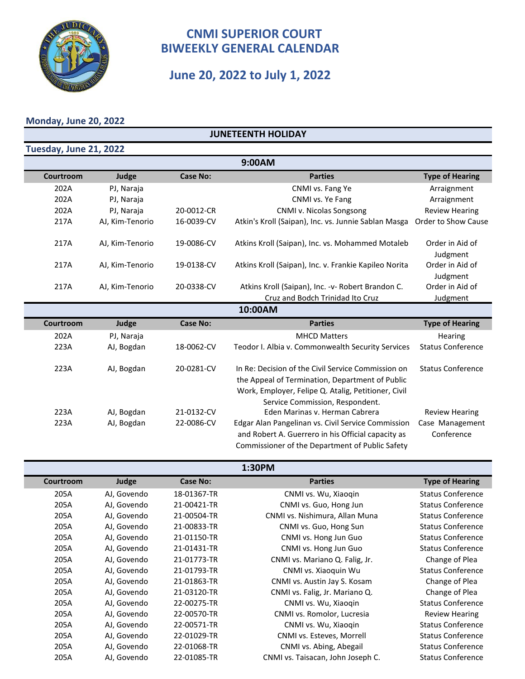

## **June 20, 2022 to July 1, 2022**

#### **Monday, June 20, 2022**

#### **JUNETEENTH HOLIDAY**

| Tuesday, June 21, 2022 |                 |                 |                                                                                                                                                                                                 |                               |
|------------------------|-----------------|-----------------|-------------------------------------------------------------------------------------------------------------------------------------------------------------------------------------------------|-------------------------------|
|                        |                 |                 | 9:00AM                                                                                                                                                                                          |                               |
| Courtroom              | Judge           | <b>Case No:</b> | <b>Parties</b>                                                                                                                                                                                  | <b>Type of Hearing</b>        |
| 202A                   | PJ, Naraja      |                 | CNMI vs. Fang Ye                                                                                                                                                                                | Arraignment                   |
| 202A                   | PJ, Naraja      |                 | CNMI vs. Ye Fang                                                                                                                                                                                | Arraignment                   |
| 202A                   | PJ, Naraja      | 20-0012-CR      | CNMI v. Nicolas Songsong                                                                                                                                                                        | <b>Review Hearing</b>         |
| 217A                   | AJ, Kim-Tenorio | 16-0039-CV      | Atkin's Kroll (Saipan), Inc. vs. Junnie Sablan Masga                                                                                                                                            | Order to Show Cause           |
| 217A                   | AJ, Kim-Tenorio | 19-0086-CV      | Atkins Kroll (Saipan), Inc. vs. Mohammed Motaleb                                                                                                                                                | Order in Aid of<br>Judgment   |
| 217A                   | AJ, Kim-Tenorio | 19-0138-CV      | Atkins Kroll (Saipan), Inc. v. Frankie Kapileo Norita                                                                                                                                           | Order in Aid of<br>Judgment   |
| 217A                   | AJ, Kim-Tenorio | 20-0338-CV      | Atkins Kroll (Saipan), Inc. - v- Robert Brandon C.                                                                                                                                              | Order in Aid of               |
|                        |                 |                 | Cruz and Bodch Trinidad Ito Cruz                                                                                                                                                                | Judgment                      |
|                        |                 |                 | 10:00AM                                                                                                                                                                                         |                               |
| Courtroom              | Judge           | <b>Case No:</b> | <b>Parties</b>                                                                                                                                                                                  | <b>Type of Hearing</b>        |
| 202A                   | PJ, Naraja      |                 | <b>MHCD Matters</b>                                                                                                                                                                             | Hearing                       |
| 223A                   | AJ, Bogdan      | 18-0062-CV      | Teodor I. Albia v. Commonwealth Security Services                                                                                                                                               | <b>Status Conference</b>      |
| 223A                   | AJ, Bogdan      | 20-0281-CV      | In Re: Decision of the Civil Service Commission on<br>the Appeal of Termination, Department of Public<br>Work, Employer, Felipe Q. Atalig, Petitioner, Civil<br>Service Commission, Respondent. | <b>Status Conference</b>      |
| 223A                   | AJ, Bogdan      | 21-0132-CV      | Eden Marinas v. Herman Cabrera                                                                                                                                                                  | <b>Review Hearing</b>         |
| 223A                   | AJ, Bogdan      | 22-0086-CV      | Edgar Alan Pangelinan vs. Civil Service Commission<br>and Robert A. Guerrero in his Official capacity as<br>Commissioner of the Department of Public Safety                                     | Case Management<br>Conference |

**1:30PM**

| Courtroom | Judge       | <b>Case No:</b> | <b>Parties</b>                    | <b>Type of Hearing</b>   |
|-----------|-------------|-----------------|-----------------------------------|--------------------------|
| 205A      | AJ, Govendo | 18-01367-TR     | CNMI vs. Wu, Xiaoqin              | <b>Status Conference</b> |
| 205A      | AJ, Govendo | 21-00421-TR     | CNMI vs. Guo, Hong Jun            | <b>Status Conference</b> |
| 205A      | AJ, Govendo | 21-00504-TR     | CNMI vs. Nishimura, Allan Muna    | <b>Status Conference</b> |
| 205A      | AJ, Govendo | 21-00833-TR     | CNMI vs. Guo, Hong Sun            | <b>Status Conference</b> |
| 205A      | AJ, Govendo | 21-01150-TR     | CNMI vs. Hong Jun Guo             | <b>Status Conference</b> |
| 205A      | AJ, Govendo | 21-01431-TR     | CNMI vs. Hong Jun Guo             | <b>Status Conference</b> |
| 205A      | AJ, Govendo | 21-01773-TR     | CNMI vs. Mariano Q. Falig, Jr.    | Change of Plea           |
| 205A      | AJ, Govendo | 21-01793-TR     | CNMI vs. Xiaoquin Wu              | <b>Status Conference</b> |
| 205A      | AJ, Govendo | 21-01863-TR     | CNMI vs. Austin Jay S. Kosam      | Change of Plea           |
| 205A      | AJ, Govendo | 21-03120-TR     | CNMI vs. Falig, Jr. Mariano Q.    | Change of Plea           |
| 205A      | AJ, Govendo | 22-00275-TR     | CNMI vs. Wu, Xiaogin              | <b>Status Conference</b> |
| 205A      | AJ, Govendo | 22-00570-TR     | CNMI vs. Romolor, Lucresia        | <b>Review Hearing</b>    |
| 205A      | AJ, Govendo | 22-00571-TR     | CNMI vs. Wu, Xiaogin              | <b>Status Conference</b> |
| 205A      | AJ, Govendo | 22-01029-TR     | CNMI vs. Esteves, Morrell         | <b>Status Conference</b> |
| 205A      | AJ, Govendo | 22-01068-TR     | CNMI vs. Abing, Abegail           | <b>Status Conference</b> |
| 205A      | AJ, Govendo | 22-01085-TR     | CNMI vs. Taisacan, John Joseph C. | <b>Status Conference</b> |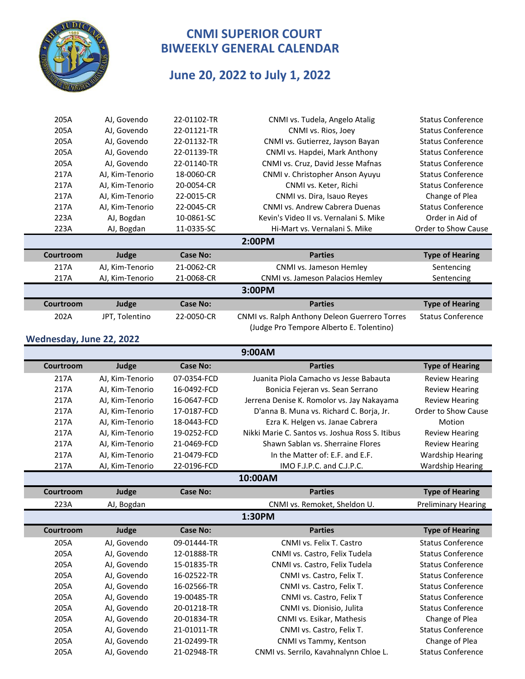

# **June 20, 2022 to July 1, 2022**

|        | 205A                                                                                                                                                                                                                                                                                                        | AJ, Govendo     | 22-01102-TR     | CNMI vs. Tudela, Angelo Atalig                | <b>Status Conference</b> |  |
|--------|-------------------------------------------------------------------------------------------------------------------------------------------------------------------------------------------------------------------------------------------------------------------------------------------------------------|-----------------|-----------------|-----------------------------------------------|--------------------------|--|
|        | 205A                                                                                                                                                                                                                                                                                                        | AJ, Govendo     | 22-01121-TR     | CNMI vs. Rios, Joey                           | <b>Status Conference</b> |  |
|        | 205A                                                                                                                                                                                                                                                                                                        | AJ, Govendo     | 22-01132-TR     | CNMI vs. Gutierrez, Jayson Bayan              | <b>Status Conference</b> |  |
|        | 205A                                                                                                                                                                                                                                                                                                        | AJ, Govendo     | 22-01139-TR     | CNMI vs. Hapdei, Mark Anthony                 | <b>Status Conference</b> |  |
|        | 205A                                                                                                                                                                                                                                                                                                        | AJ, Govendo     | 22-01140-TR     | CNMI vs. Cruz, David Jesse Mafnas             | <b>Status Conference</b> |  |
|        | 217A                                                                                                                                                                                                                                                                                                        | AJ, Kim-Tenorio | 18-0060-CR      | CNMI v. Christopher Anson Ayuyu               | <b>Status Conference</b> |  |
|        | 217A                                                                                                                                                                                                                                                                                                        | AJ, Kim-Tenorio | 20-0054-CR      | CNMI vs. Keter, Richi                         | <b>Status Conference</b> |  |
|        | 217A                                                                                                                                                                                                                                                                                                        | AJ, Kim-Tenorio | 22-0015-CR      | CNMI vs. Dira, Isauo Reyes                    | Change of Plea           |  |
|        | 217A                                                                                                                                                                                                                                                                                                        | AJ, Kim-Tenorio | 22-0045-CR      | CNMI vs. Andrew Cabrera Duenas                | <b>Status Conference</b> |  |
|        | 223A                                                                                                                                                                                                                                                                                                        | AJ, Bogdan      | 10-0861-SC      | Kevin's Video II vs. Vernalani S. Mike        | Order in Aid of          |  |
|        | 223A                                                                                                                                                                                                                                                                                                        | AJ, Bogdan      | 11-0335-SC      | Hi-Mart vs. Vernalani S. Mike                 | Order to Show Cause      |  |
|        |                                                                                                                                                                                                                                                                                                             |                 |                 | 2:00PM                                        |                          |  |
|        | Courtroom                                                                                                                                                                                                                                                                                                   | Judge           | <b>Case No:</b> | <b>Parties</b>                                | <b>Type of Hearing</b>   |  |
|        | 217A                                                                                                                                                                                                                                                                                                        | AJ, Kim-Tenorio | 21-0062-CR      | CNMI vs. Jameson Hemley                       | Sentencing               |  |
|        | 217A                                                                                                                                                                                                                                                                                                        | AJ, Kim-Tenorio | 21-0068-CR      | CNMI vs. Jameson Palacios Hemley              | Sentencing               |  |
| 3:00PM |                                                                                                                                                                                                                                                                                                             |                 |                 |                                               |                          |  |
|        | Courtroom                                                                                                                                                                                                                                                                                                   | Judge           | <b>Case No:</b> | <b>Parties</b>                                | <b>Type of Hearing</b>   |  |
|        | 202A                                                                                                                                                                                                                                                                                                        | JPT, Tolentino  | 22-0050-CR      | CNMI vs. Ralph Anthony Deleon Guerrero Torres | <b>Status Conference</b> |  |
|        |                                                                                                                                                                                                                                                                                                             |                 |                 | (Judge Pro Tempore Alberto E. Tolentino)      |                          |  |
|        | $\mathbf{A}$ , $\mathbf{A}$ , $\mathbf{A}$ , $\mathbf{A}$ , $\mathbf{A}$ , $\mathbf{A}$ , $\mathbf{A}$ , $\mathbf{A}$ , $\mathbf{A}$ , $\mathbf{A}$ , $\mathbf{A}$ , $\mathbf{A}$ , $\mathbf{A}$ , $\mathbf{A}$ , $\mathbf{A}$ , $\mathbf{A}$ , $\mathbf{A}$ , $\mathbf{A}$ , $\mathbf{A}$ , $\mathbf{A}$ , |                 |                 |                                               |                          |  |

**Wednesday, June 22, 2022**

Ī

**9:00AM**

|           |                 |                 | <b>J.UUMIVI</b>                                 |                            |
|-----------|-----------------|-----------------|-------------------------------------------------|----------------------------|
| Courtroom | Judge           | <b>Case No:</b> | <b>Parties</b>                                  | <b>Type of Hearing</b>     |
| 217A      | AJ, Kim-Tenorio | 07-0354-FCD     | Juanita Piola Camacho vs Jesse Babauta          | <b>Review Hearing</b>      |
| 217A      | AJ, Kim-Tenorio | 16-0492-FCD     | Bonicia Fejeran vs. Sean Serrano                | <b>Review Hearing</b>      |
| 217A      | AJ, Kim-Tenorio | 16-0647-FCD     | Jerrena Denise K. Romolor vs. Jay Nakayama      | <b>Review Hearing</b>      |
| 217A      | AJ, Kim-Tenorio | 17-0187-FCD     | D'anna B. Muna vs. Richard C. Borja, Jr.        | Order to Show Cause        |
| 217A      | AJ, Kim-Tenorio | 18-0443-FCD     | Ezra K. Helgen vs. Janae Cabrera                | Motion                     |
| 217A      | AJ, Kim-Tenorio | 19-0252-FCD     | Nikki Marie C. Santos vs. Joshua Ross S. Itibus | <b>Review Hearing</b>      |
| 217A      | AJ. Kim-Tenorio | 21-0469-FCD     | Shawn Sablan vs. Sherraine Flores               | <b>Review Hearing</b>      |
| 217A      | AJ. Kim-Tenorio | 21-0479-FCD     | In the Matter of: E.F. and E.F.                 | <b>Wardship Hearing</b>    |
| 217A      | AJ, Kim-Tenorio | 22-0196-FCD     | IMO F.J.P.C. and C.J.P.C.                       | <b>Wardship Hearing</b>    |
|           |                 |                 | 10:00AM                                         |                            |
| Courtroom | Judge           | <b>Case No:</b> | <b>Parties</b>                                  | <b>Type of Hearing</b>     |
| 223A      | AJ, Bogdan      |                 | CNMI vs. Remoket, Sheldon U.                    | <b>Preliminary Hearing</b> |
|           |                 |                 | 1:30PM                                          |                            |
| Courtroom | Judge           | <b>Case No:</b> | <b>Parties</b>                                  | <b>Type of Hearing</b>     |
| 205A      | AJ, Govendo     | 09-01444-TR     | CNMI vs. Felix T. Castro                        | <b>Status Conference</b>   |
| 205A      | AJ, Govendo     | 12-01888-TR     | CNMI vs. Castro, Felix Tudela                   | <b>Status Conference</b>   |
| 205A      | AJ, Govendo     | 15-01835-TR     | CNMI vs. Castro, Felix Tudela                   | <b>Status Conference</b>   |
| 205A      | AJ, Govendo     | 16-02522-TR     | CNMI vs. Castro, Felix T.                       | <b>Status Conference</b>   |
| 205A      | AJ, Govendo     | 16-02566-TR     | CNMI vs. Castro, Felix T.                       | <b>Status Conference</b>   |
| 205A      | AJ, Govendo     | 19-00485-TR     | CNMI vs. Castro, Felix T                        | <b>Status Conference</b>   |
| 205A      | AJ, Govendo     | 20-01218-TR     | CNMI vs. Dionisio, Julita                       | <b>Status Conference</b>   |
| 205A      | AJ, Govendo     | 20-01834-TR     | CNMI vs. Esikar, Mathesis                       | Change of Plea             |
| 205A      | AJ. Govendo     | 21-01011-TR     | CNMI vs. Castro, Felix T.                       | <b>Status Conference</b>   |
| 205A      | AJ, Govendo     | 21-02499-TR     | CNMI vs Tammy, Kentson                          | Change of Plea             |
| 205A      | AJ, Govendo     | 21-02948-TR     | CNMI vs. Serrilo, Kavahnalynn Chloe L.          | <b>Status Conference</b>   |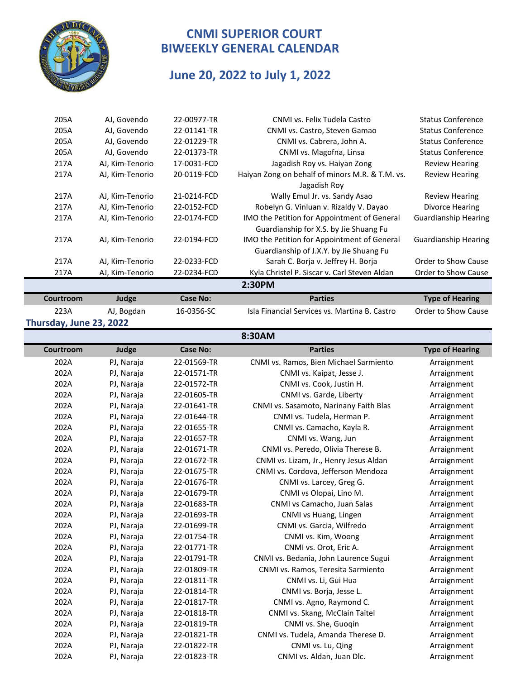

## **June 20, 2022 to July 1, 2022**

| Courtroom | Judge           | <b>Case No:</b> | <b>Parties</b>                                                                        | <b>Type of Hearing</b>      |
|-----------|-----------------|-----------------|---------------------------------------------------------------------------------------|-----------------------------|
|           |                 |                 | 2:30PM                                                                                |                             |
| 217A      | AJ, Kim-Tenorio | 22-0234-FCD     | Kyla Christel P. Siscar v. Carl Steven Aldan                                          | Order to Show Cause         |
| 217A      | AJ, Kim-Tenorio | 22-0233-FCD     | Sarah C. Borja v. Jeffrey H. Borja                                                    | Order to Show Cause         |
|           |                 |                 | Guardianship of J.X.Y. by Jie Shuang Fu                                               |                             |
| 217A      | AJ, Kim-Tenorio | 22-0194-FCD     | Guardianship for X.S. by Jie Shuang Fu<br>IMO the Petition for Appointment of General | <b>Guardianship Hearing</b> |
| 217A      | AJ, Kim-Tenorio | 22-0174-FCD     | IMO the Petition for Appointment of General                                           | <b>Guardianship Hearing</b> |
| 217A      | AJ, Kim-Tenorio | 22-0152-FCD     | Robelyn G. Vinluan v. Rizaldy V. Dayao                                                | Divorce Hearing             |
| 217A      | AJ, Kim-Tenorio | 21-0214-FCD     | Wally Emul Jr. vs. Sandy Asao                                                         | <b>Review Hearing</b>       |
|           |                 |                 | Jagadish Roy                                                                          |                             |
| 217A      | AJ, Kim-Tenorio | 20-0119-FCD     | Haiyan Zong on behalf of minors M.R. & T.M. vs.                                       | <b>Review Hearing</b>       |
| 217A      | AJ, Kim-Tenorio | 17-0031-FCD     | Jagadish Roy vs. Haiyan Zong                                                          | <b>Review Hearing</b>       |
| 205A      | AJ, Govendo     | 22-01373-TR     | CNMI vs. Magofna, Linsa                                                               | <b>Status Conference</b>    |
| 205A      | AJ, Govendo     | 22-01229-TR     | CNMI vs. Cabrera, John A.                                                             | <b>Status Conference</b>    |
| 205A      | AJ, Govendo     | 22-01141-TR     | CNMI vs. Castro, Steven Gamao                                                         | <b>Status Conference</b>    |
| 205A      | AJ, Govendo     | 22-00977-TR     | CNMI vs. Felix Tudela Castro                                                          | <b>Status Conference</b>    |
|           |                 |                 |                                                                                       |                             |

**Thursday, June 23, 2022**

223A AJ, Bogdan 16-0356-SC Isla Financial Services vs. Martina B. Castro Order to Show Cause

#### **8:30AM**

| Courtroom | Judge      | <b>Case No:</b> | <b>Parties</b>                         | <b>Type of Hearing</b> |
|-----------|------------|-----------------|----------------------------------------|------------------------|
| 202A      | PJ, Naraja | 22-01569-TR     | CNMI vs. Ramos, Bien Michael Sarmiento | Arraignment            |
| 202A      | PJ, Naraja | 22-01571-TR     | CNMI vs. Kaipat, Jesse J.              | Arraignment            |
| 202A      | PJ, Naraja | 22-01572-TR     | CNMI vs. Cook, Justin H.               | Arraignment            |
| 202A      | PJ, Naraja | 22-01605-TR     | CNMI vs. Garde, Liberty                | Arraignment            |
| 202A      | PJ, Naraja | 22-01641-TR     | CNMI vs. Sasamoto, Narinany Faith Blas | Arraignment            |
| 202A      | PJ, Naraja | 22-01644-TR     | CNMI vs. Tudela, Herman P.             | Arraignment            |
| 202A      | PJ, Naraja | 22-01655-TR     | CNMI vs. Camacho, Kayla R.             | Arraignment            |
| 202A      | PJ, Naraja | 22-01657-TR     | CNMI vs. Wang, Jun                     | Arraignment            |
| 202A      | PJ, Naraja | 22-01671-TR     | CNMI vs. Peredo, Olivia Therese B.     | Arraignment            |
| 202A      | PJ, Naraja | 22-01672-TR     | CNMI vs. Lizam, Jr., Henry Jesus Aldan | Arraignment            |
| 202A      | PJ, Naraja | 22-01675-TR     | CNMI vs. Cordova, Jefferson Mendoza    | Arraignment            |
| 202A      | PJ, Naraja | 22-01676-TR     | CNMI vs. Larcey, Greg G.               | Arraignment            |
| 202A      | PJ, Naraja | 22-01679-TR     | CNMI vs Olopai, Lino M.                | Arraignment            |
| 202A      | PJ, Naraja | 22-01683-TR     | CNMI vs Camacho, Juan Salas            | Arraignment            |
| 202A      | PJ, Naraja | 22-01693-TR     | CNMI vs Huang, Lingen                  | Arraignment            |
| 202A      | PJ, Naraja | 22-01699-TR     | CNMI vs. Garcia, Wilfredo              | Arraignment            |
| 202A      | PJ, Naraja | 22-01754-TR     | CNMI vs. Kim, Woong                    | Arraignment            |
| 202A      | PJ, Naraja | 22-01771-TR     | CNMI vs. Orot, Eric A.                 | Arraignment            |
| 202A      | PJ, Naraja | 22-01791-TR     | CNMI vs. Bedania, John Laurence Sugui  | Arraignment            |
| 202A      | PJ, Naraja | 22-01809-TR     | CNMI vs. Ramos, Teresita Sarmiento     | Arraignment            |
| 202A      | PJ, Naraja | 22-01811-TR     | CNMI vs. Li, Gui Hua                   | Arraignment            |
| 202A      | PJ, Naraja | 22-01814-TR     | CNMI vs. Borja, Jesse L.               | Arraignment            |
| 202A      | PJ, Naraja | 22-01817-TR     | CNMI vs. Agno, Raymond C.              | Arraignment            |
| 202A      | PJ, Naraja | 22-01818-TR     | CNMI vs. Skang, McClain Taitel         | Arraignment            |
| 202A      | PJ, Naraja | 22-01819-TR     | CNMI vs. She, Guoqin                   | Arraignment            |
| 202A      | PJ, Naraja | 22-01821-TR     | CNMI vs. Tudela, Amanda Therese D.     | Arraignment            |
| 202A      | PJ, Naraja | 22-01822-TR     | CNMI vs. Lu, Qing                      | Arraignment            |
| 202A      | PJ, Naraja | 22-01823-TR     | CNMI vs. Aldan, Juan Dlc.              | Arraignment            |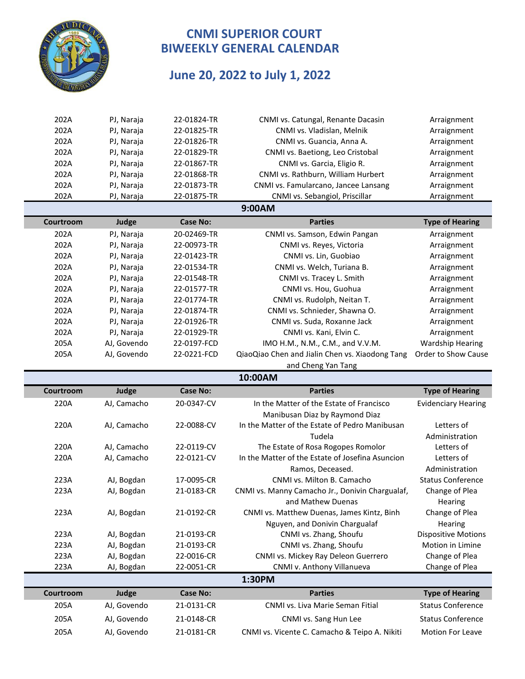

# **June 20, 2022 to July 1, 2022**

| 202A      | PJ, Naraja  | 22-01824-TR     | CNMI vs. Catungal, Renante Dacasin               | Arraignment                |
|-----------|-------------|-----------------|--------------------------------------------------|----------------------------|
| 202A      | PJ, Naraja  | 22-01825-TR     | CNMI vs. Vladislan, Melnik                       | Arraignment                |
| 202A      | PJ, Naraja  | 22-01826-TR     | CNMI vs. Guancia, Anna A.                        | Arraignment                |
| 202A      | PJ, Naraja  | 22-01829-TR     | CNMI vs. Baetiong, Leo Cristobal                 | Arraignment                |
| 202A      | PJ, Naraja  | 22-01867-TR     | CNMI vs. Garcia, Eligio R.                       | Arraignment                |
| 202A      | PJ, Naraja  | 22-01868-TR     | CNMI vs. Rathburn, William Hurbert               | Arraignment                |
| 202A      | PJ, Naraja  | 22-01873-TR     | CNMI vs. Famularcano, Jancee Lansang             | Arraignment                |
| 202A      | PJ, Naraja  | 22-01875-TR     | CNMI vs. Sebangiol, Priscillar                   | Arraignment                |
|           |             |                 | 9:00AM                                           |                            |
| Courtroom | Judge       | <b>Case No:</b> | <b>Parties</b>                                   | <b>Type of Hearing</b>     |
| 202A      | PJ, Naraja  | 20-02469-TR     | CNMI vs. Samson, Edwin Pangan                    | Arraignment                |
| 202A      | PJ, Naraja  | 22-00973-TR     | CNMI vs. Reyes, Victoria                         | Arraignment                |
| 202A      | PJ, Naraja  | 22-01423-TR     | CNMI vs. Lin, Guobiao                            | Arraignment                |
| 202A      | PJ, Naraja  | 22-01534-TR     | CNMI vs. Welch, Turiana B.                       | Arraignment                |
| 202A      | PJ, Naraja  | 22-01548-TR     | CNMI vs. Tracey L. Smith                         | Arraignment                |
| 202A      | PJ, Naraja  | 22-01577-TR     | CNMI vs. Hou, Guohua                             | Arraignment                |
| 202A      | PJ, Naraja  | 22-01774-TR     | CNMI vs. Rudolph, Neitan T.                      | Arraignment                |
| 202A      | PJ, Naraja  | 22-01874-TR     | CNMI vs. Schnieder, Shawna O.                    | Arraignment                |
| 202A      | PJ, Naraja  | 22-01926-TR     | CNMI vs. Suda, Roxanne Jack                      | Arraignment                |
| 202A      | PJ, Naraja  | 22-01929-TR     | CNMI vs. Kani, Elvin C.                          | Arraignment                |
| 205A      | AJ, Govendo | 22-0197-FCD     | IMO H.M., N.M., C.M., and V.V.M.                 | <b>Wardship Hearing</b>    |
| 205A      | AJ, Govendo | 22-0221-FCD     | QiaoQiao Chen and Jialin Chen vs. Xiaodong Tang  | Order to Show Cause        |
|           |             |                 | and Cheng Yan Tang                               |                            |
|           |             |                 |                                                  |                            |
|           |             |                 | 10:00AM                                          |                            |
| Courtroom | Judge       | <b>Case No:</b> | <b>Parties</b>                                   | <b>Type of Hearing</b>     |
| 220A      | AJ, Camacho | 20-0347-CV      | In the Matter of the Estate of Francisco         | <b>Evidenciary Hearing</b> |
|           |             |                 | Manibusan Diaz by Raymond Diaz                   |                            |
| 220A      | AJ, Camacho | 22-0088-CV      | In the Matter of the Estate of Pedro Manibusan   | Letters of                 |
|           |             |                 | Tudela                                           | Administration             |
| 220A      | AJ, Camacho | 22-0119-CV      | The Estate of Rosa Rogopes Romolor               | Letters of                 |
| 220A      | AJ, Camacho | 22-0121-CV      | In the Matter of the Estate of Josefina Asuncion | Letters of                 |
|           |             |                 | Ramos, Deceased.                                 | Administration             |
| 223A      | AJ, Bogdan  | 17-0095-CR      | CNMI vs. Milton B. Camacho                       | <b>Status Conference</b>   |
| 223A      | AJ, Bogdan  | 21-0183-CR      | CNMI vs. Manny Camacho Jr., Donivin Chargualaf,  | Change of Plea             |
|           |             |                 | and Mathew Duenas                                | Hearing                    |
| 223A      | AJ, Bogdan  | 21-0192-CR      | CNMI vs. Matthew Duenas, James Kintz, Binh       | Change of Plea             |
|           |             |                 | Nguyen, and Donivin Chargualaf                   | Hearing                    |
| 223A      | AJ, Bogdan  | 21-0193-CR      | CNMI vs. Zhang, Shoufu                           | <b>Dispositive Motions</b> |
| 223A      | AJ, Bogdan  | 21-0193-CR      | CNMI vs. Zhang, Shoufu                           | Motion in Limine           |
| 223A      | AJ, Bogdan  | 22-0016-CR      | CNMI vs. Mickey Ray Deleon Guerrero              | Change of Plea             |
| 223A      | AJ, Bogdan  | 22-0051-CR      | CNMI v. Anthony Villanueva                       | Change of Plea             |
|           |             |                 | 1:30PM                                           |                            |
| Courtroom | Judge       | <b>Case No:</b> | <b>Parties</b>                                   | <b>Type of Hearing</b>     |
| 205A      | AJ, Govendo | 21-0131-CR      | CNMI vs. Liva Marie Seman Fitial                 | <b>Status Conference</b>   |
| 205A      | AJ, Govendo | 21-0148-CR      | CNMI vs. Sang Hun Lee                            | <b>Status Conference</b>   |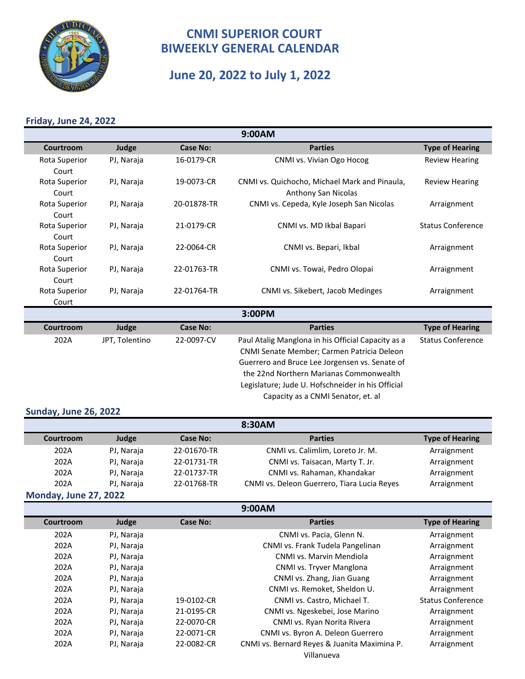

# **June 20, 2022 to July 1, 2022**

## **Friday, June 24, 2022**

| 9:00AM                 |            |                 |                                                                      |                          |  |  |
|------------------------|------------|-----------------|----------------------------------------------------------------------|--------------------------|--|--|
| Courtroom              | Judge      | <b>Case No:</b> | <b>Parties</b>                                                       | <b>Type of Hearing</b>   |  |  |
| Rota Superior<br>Court | PJ, Naraja | 16-0179-CR      | CNMI vs. Vivian Ogo Hocog                                            | <b>Review Hearing</b>    |  |  |
| Rota Superior<br>Court | PJ, Naraja | 19-0073-CR      | CNMI vs. Quichocho, Michael Mark and Pinaula,<br>Anthony San Nicolas | <b>Review Hearing</b>    |  |  |
| Rota Superior<br>Court | PJ, Naraja | 20-01878-TR     | CNMI vs. Cepeda, Kyle Joseph San Nicolas                             | Arraignment              |  |  |
| Rota Superior<br>Court | PJ, Naraja | 21-0179-CR      | CNMI vs. MD Ikbal Bapari                                             | <b>Status Conference</b> |  |  |
| Rota Superior<br>Court | PJ, Naraja | 22-0064-CR      | CNMI vs. Bepari, Ikbal                                               | Arraignment              |  |  |
| Rota Superior<br>Court | PJ, Naraja | 22-01763-TR     | CNMI vs. Towai, Pedro Olopai                                         | Arraignment              |  |  |
| Rota Superior<br>Court | PJ, Naraja | 22-01764-TR     | CNMI vs. Sikebert, Jacob Medinges                                    | Arraignment              |  |  |
|                        | 3:00PM     |                 |                                                                      |                          |  |  |
| Courtroom              | Judge      | <b>Case No:</b> | <b>Parties</b>                                                       | <b>Type of Hearing</b>   |  |  |

| Courtroom | Judge          | <b>Case No:</b> | <b>Parties</b>                                     | <b>Type of Hearing</b>   |
|-----------|----------------|-----------------|----------------------------------------------------|--------------------------|
| 202A      | JPT, Tolentino | 22-0097-CV      | Paul Atalig Manglona in his Official Capacity as a | <b>Status Conference</b> |
|           |                |                 | CNMI Senate Member; Carmen Patricia Deleon         |                          |
|           |                |                 | Guerrero and Bruce Lee Jorgensen vs. Senate of     |                          |
|           |                |                 | the 22nd Northern Marianas Commonwealth            |                          |
|           |                |                 | Legislature; Jude U. Hofschneider in his Official  |                          |
|           |                |                 | Capacity as a CNMI Senator, et. al                 |                          |
|           |                |                 |                                                    |                          |

#### **Sunday, June 26, 2022**

| 8:30AM           |            |                 |                                             |                        |
|------------------|------------|-----------------|---------------------------------------------|------------------------|
| Courtroom        | Judge      | <b>Case No:</b> | <b>Parties</b>                              | <b>Type of Hearing</b> |
| 202A             | PJ, Naraja | 22-01670-TR     | CNMI vs. Calimlim, Loreto Jr. M.            | Arraignment            |
| 202A             | PJ, Naraja | 22-01731-TR     | CNMI vs. Taisacan, Marty T. Jr.             | Arraignment            |
| 202A             | PJ, Naraja | 22-01737-TR     | CNMI vs. Rahaman, Khandakar                 | Arraignment            |
| 202A             | PJ, Naraja | 22-01768-TR     | CNMI vs. Deleon Guerrero, Tiara Lucia Reyes | Arraignment            |
| あきょうけん しょうこう 合当し |            |                 |                                             |                        |

#### **Monday, June 27, 2022**

| 9:00AM    |            |                 |                                              |                          |  |  |
|-----------|------------|-----------------|----------------------------------------------|--------------------------|--|--|
| Courtroom | Judge      | <b>Case No:</b> | <b>Parties</b>                               | <b>Type of Hearing</b>   |  |  |
| 202A      | PJ, Naraja |                 | CNMI vs. Pacia, Glenn N.                     | Arraignment              |  |  |
| 202A      | PJ, Naraja |                 | CNMI vs. Frank Tudela Pangelinan             | Arraignment              |  |  |
| 202A      | PJ, Naraja |                 | CNMI vs. Marvin Mendiola                     | Arraignment              |  |  |
| 202A      | PJ, Naraja |                 | CNMI vs. Tryver Manglona                     | Arraignment              |  |  |
| 202A      | PJ, Naraja |                 | CNMI vs. Zhang, Jian Guang                   | Arraignment              |  |  |
| 202A      | PJ, Naraja |                 | CNMI vs. Remoket, Sheldon U.                 | Arraignment              |  |  |
| 202A      | PJ, Naraja | 19-0102-CR      | CNMI vs. Castro, Michael T.                  | <b>Status Conference</b> |  |  |
| 202A      | PJ, Naraja | 21-0195-CR      | CNMI vs. Ngeskebei, Jose Marino              | Arraignment              |  |  |
| 202A      | PJ, Naraja | 22-0070-CR      | CNMI vs. Ryan Norita Rivera                  | Arraignment              |  |  |
| 202A      | PJ, Naraja | 22-0071-CR      | CNMI vs. Byron A. Deleon Guerrero            | Arraignment              |  |  |
| 202A      | PJ, Naraja | 22-0082-CR      | CNMI vs. Bernard Reyes & Juanita Maximina P. | Arraignment              |  |  |
|           |            |                 | Villanueva                                   |                          |  |  |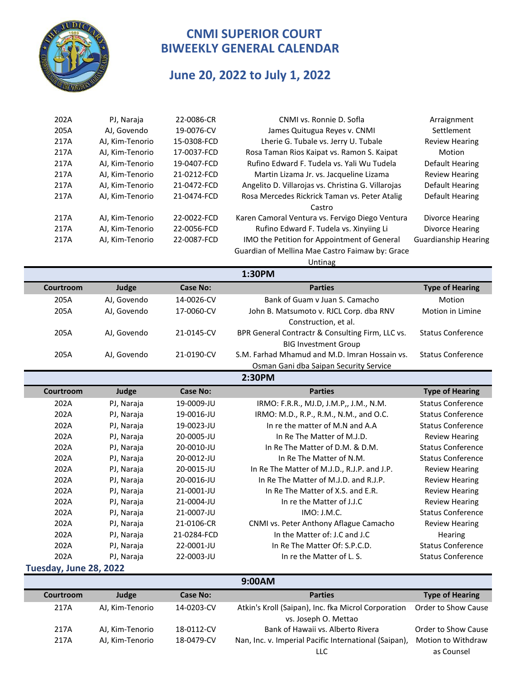

# **June 20, 2022 to July 1, 2022**

| 202A      | PJ, Naraja      | 22-0086-CR      | CNMI vs. Ronnie D. Sofla                           | Arraignment                 |
|-----------|-----------------|-----------------|----------------------------------------------------|-----------------------------|
| 205A      | AJ, Govendo     | 19-0076-CV      | James Quitugua Reyes v. CNMI                       | Settlement                  |
| 217A      | AJ, Kim-Tenorio | 15-0308-FCD     | Lherie G. Tubale vs. Jerry U. Tubale               | <b>Review Hearing</b>       |
| 217A      | AJ, Kim-Tenorio | 17-0037-FCD     | Rosa Taman Rios Kaipat vs. Ramon S. Kaipat         | Motion                      |
| 217A      | AJ, Kim-Tenorio | 19-0407-FCD     | Rufino Edward F. Tudela vs. Yali Wu Tudela         | Default Hearing             |
| 217A      | AJ, Kim-Tenorio | 21-0212-FCD     | Martin Lizama Jr. vs. Jacqueline Lizama            | <b>Review Hearing</b>       |
| 217A      | AJ, Kim-Tenorio | 21-0472-FCD     | Angelito D. Villarojas vs. Christina G. Villarojas | Default Hearing             |
| 217A      | AJ, Kim-Tenorio | 21-0474-FCD     | Rosa Mercedes Rickrick Taman vs. Peter Atalig      | Default Hearing             |
|           |                 |                 | Castro                                             |                             |
| 217A      | AJ, Kim-Tenorio | 22-0022-FCD     | Karen Camoral Ventura vs. Fervigo Diego Ventura    | <b>Divorce Hearing</b>      |
| 217A      | AJ, Kim-Tenorio | 22-0056-FCD     | Rufino Edward F. Tudela vs. Xinyiing Li            | <b>Divorce Hearing</b>      |
| 217A      | AJ, Kim-Tenorio | 22-0087-FCD     | IMO the Petition for Appointment of General        | <b>Guardianship Hearing</b> |
|           |                 |                 | Guardian of Mellina Mae Castro Faimaw by: Grace    |                             |
|           |                 |                 | Untinag                                            |                             |
|           |                 |                 | 1:30PM                                             |                             |
| Courtroom | Judge           | <b>Case No:</b> | <b>Parties</b>                                     | <b>Type of Hearing</b>      |
| 205A      | AJ, Govendo     | 14-0026-CV      | Bank of Guam v Juan S. Camacho                     | Motion                      |
| 205A      | AJ, Govendo     | 17-0060-CV      | John B. Matsumoto v. RJCL Corp. dba RNV            | Motion in Limine            |
|           |                 |                 | Construction, et al.                               |                             |
| 205A      | AJ, Govendo     | 21-0145-CV      | BPR General Contractr & Consulting Firm, LLC vs.   | <b>Status Conference</b>    |
|           |                 |                 | <b>BIG Investment Group</b>                        |                             |
| 205A      | AJ, Govendo     | 21-0190-CV      | S.M. Farhad Mhamud and M.D. Imran Hossain vs.      | <b>Status Conference</b>    |
|           |                 |                 | Osman Gani dba Saipan Security Service             |                             |
|           |                 |                 | 2:30PM                                             |                             |
| Courtroom | Judge           | <b>Case No:</b> | <b>Parties</b>                                     | <b>Type of Hearing</b>      |
| 202A      | PJ, Naraja      | 19-0009-JU      | IRMO: F.R.R., MJ.D, J.M.P,, J.M., N.M.             | <b>Status Conference</b>    |
| 202A      | PJ, Naraja      | 19-0016-JU      | IRMO: M.D., R.P., R.M., N.M., and O.C.             | <b>Status Conference</b>    |
| 202A      | PJ, Naraja      | 19-0023-JU      | In re the matter of M.N and A.A                    | <b>Status Conference</b>    |
| 202A      | PJ, Naraja      | 20-0005-JU      | In Re The Matter of M.J.D.                         | <b>Review Hearing</b>       |
| 202A      | PJ, Naraja      | 20-0010-JU      | In Re The Matter of D.M. & D.M.                    | <b>Status Conference</b>    |
| 202A      | PJ, Naraja      | 20-0012-JU      | In Re The Matter of N.M.                           | <b>Status Conference</b>    |
| 202A      | PJ, Naraja      | 20-0015-JU      | In Re The Matter of M.J.D., R.J.P. and J.P.        | <b>Review Hearing</b>       |
| 202A      | PJ, Naraja      | 20-0016-JU      | In Re The Matter of M.J.D. and R.J.P.              | <b>Review Hearing</b>       |
| 202A      | PJ, Naraja      | 21-0001-JU      | In Re The Matter of X.S. and E.R.                  | <b>Review Hearing</b>       |
| 202A      | PJ, Naraja      | 21-0004-JU      | In re the Matter of J.J.C                          | <b>Review Hearing</b>       |
| 202A      | PJ, Naraja      | 21-0007-JU      | IMO: J.M.C.                                        | <b>Status Conference</b>    |
| 202A      | PJ, Naraja      | 21-0106-CR      | CNMI vs. Peter Anthony Aflague Camacho             | <b>Review Hearing</b>       |
| 202A      | PJ, Naraja      | 21-0284-FCD     | In the Matter of: J.C and J.C                      | Hearing                     |
| 202A      | PJ, Naraja      | 22-0001-JU      | In Re The Matter Of: S.P.C.D.                      | <b>Status Conference</b>    |
| 202A      | PJ, Naraja      | 22-0003-JU      | In re the Matter of L. S.                          | <b>Status Conference</b>    |
|           |                 |                 |                                                    |                             |

**Tuesday, June 28, 2022**

**9:00AM**

| Courtroom | Judge           | Case No:   | <b>Parties</b>                                                              | <b>Type of Hearing</b> |
|-----------|-----------------|------------|-----------------------------------------------------------------------------|------------------------|
| 217A      | AJ, Kim-Tenorio | 14-0203-CV | Atkin's Kroll (Saipan), Inc. fka Microl Corporation<br>vs. Joseph O. Mettao | Order to Show Cause    |
| 217A      | AJ, Kim-Tenorio | 18-0112-CV | Bank of Hawaii vs. Alberto Rivera                                           | Order to Show Cause    |
|           |                 |            |                                                                             |                        |
| 217A      | AJ, Kim-Tenorio | 18-0479-CV | Nan, Inc. v. Imperial Pacific International (Saipan),                       | Motion to Withdraw     |
|           |                 |            | LLC                                                                         | as Counsel             |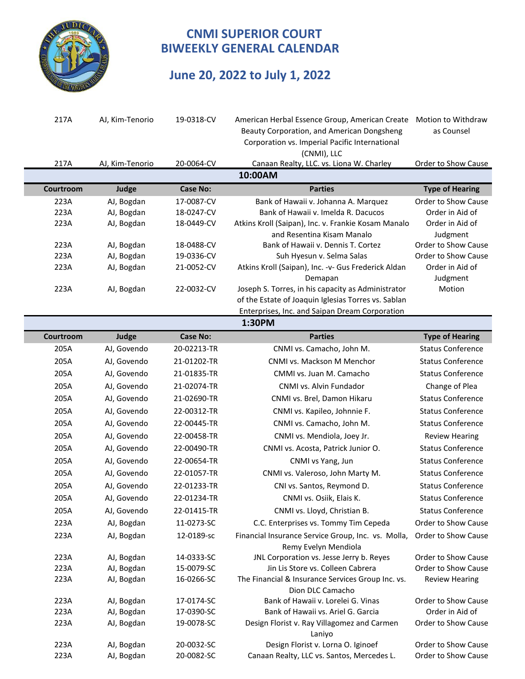

# **June 20, 2022 to July 1, 2022**

| 217A         | AJ, Kim-Tenorio          | 19-0318-CV               | American Herbal Essence Group, American Create                                                        | Motion to Withdraw                         |
|--------------|--------------------------|--------------------------|-------------------------------------------------------------------------------------------------------|--------------------------------------------|
|              |                          |                          | Beauty Corporation, and American Dongsheng                                                            | as Counsel                                 |
|              |                          |                          | Corporation vs. Imperial Pacific International                                                        |                                            |
|              |                          |                          | (CNMI), LLC                                                                                           |                                            |
| 217A         | AJ, Kim-Tenorio          | 20-0064-CV               | Canaan Realty, LLC. vs. Liona W. Charley                                                              | Order to Show Cause                        |
|              |                          |                          | 10:00AM                                                                                               |                                            |
| Courtroom    | Judge                    | <b>Case No:</b>          | <b>Parties</b>                                                                                        | <b>Type of Hearing</b>                     |
| 223A         | AJ, Bogdan               | 17-0087-CV               | Bank of Hawaii v. Johanna A. Marquez                                                                  | Order to Show Cause                        |
| 223A         | AJ, Bogdan               | 18-0247-CV               | Bank of Hawaii v. Imelda R. Dacucos                                                                   | Order in Aid of                            |
| 223A         | AJ, Bogdan               | 18-0449-CV               | Atkins Kroll (Saipan), Inc. v. Frankie Kosam Manalo                                                   | Order in Aid of                            |
|              |                          |                          | and Resentina Kisam Manalo                                                                            | Judgment                                   |
| 223A         | AJ, Bogdan               | 18-0488-CV               | Bank of Hawaii v. Dennis T. Cortez                                                                    | Order to Show Cause                        |
| 223A         | AJ, Bogdan               | 19-0336-CV               | Suh Hyesun v. Selma Salas                                                                             | Order to Show Cause                        |
| 223A         | AJ, Bogdan               | 21-0052-CV               | Atkins Kroll (Saipan), Inc. - v- Gus Frederick Aldan                                                  | Order in Aid of                            |
|              |                          |                          | Demapan                                                                                               | Judgment                                   |
| 223A         | AJ, Bogdan               | 22-0032-CV               | Joseph S. Torres, in his capacity as Administrator                                                    | Motion                                     |
|              |                          |                          | of the Estate of Joaquin Iglesias Torres vs. Sablan<br>Enterprises, Inc. and Saipan Dream Corporation |                                            |
|              |                          |                          | 1:30PM                                                                                                |                                            |
| Courtroom    | Judge                    | <b>Case No:</b>          | <b>Parties</b>                                                                                        | <b>Type of Hearing</b>                     |
| 205A         | AJ, Govendo              | 20-02213-TR              | CNMI vs. Camacho, John M.                                                                             | <b>Status Conference</b>                   |
| 205A         | AJ, Govendo              | 21-01202-TR              | CNMI vs. Mackson M Menchor                                                                            | <b>Status Conference</b>                   |
| 205A         |                          |                          |                                                                                                       | <b>Status Conference</b>                   |
|              | AJ, Govendo              | 21-01835-TR              | CMMI vs. Juan M. Camacho                                                                              |                                            |
| 205A         | AJ, Govendo              | 21-02074-TR              | CNMI vs. Alvin Fundador                                                                               | Change of Plea                             |
| 205A         | AJ, Govendo              | 21-02690-TR              | CNMI vs. Brel, Damon Hikaru                                                                           | <b>Status Conference</b>                   |
| 205A         | AJ, Govendo              | 22-00312-TR              | CNMI vs. Kapileo, Johnnie F.                                                                          | <b>Status Conference</b>                   |
| 205A         | AJ, Govendo              | 22-00445-TR              | CNMI vs. Camacho, John M.                                                                             | <b>Status Conference</b>                   |
| 205A         | AJ, Govendo              | 22-00458-TR              | CNMI vs. Mendiola, Joey Jr.                                                                           | <b>Review Hearing</b>                      |
| 205A         | AJ, Govendo              | 22-00490-TR              | CNMI vs. Acosta, Patrick Junior O.                                                                    | <b>Status Conference</b>                   |
| 205A         | AJ, Govendo              | 22-00654-TR              | CNMI vs Yang, Jun                                                                                     | <b>Status Conference</b>                   |
| 205A         | AJ, Govendo              | 22-01057-TR              | CNMI vs. Valeroso, John Marty M.                                                                      | <b>Status Conference</b>                   |
| 205A         | AJ, Govendo              | 22-01233-TR              | CNI vs. Santos, Reymond D.                                                                            | <b>Status Conference</b>                   |
| 205A         | AJ, Govendo              | 22-01234-TR              | CNMI vs. Osiik, Elais K.                                                                              | <b>Status Conference</b>                   |
| 205A         | AJ, Govendo              | 22-01415-TR              | CNMI vs. Lloyd, Christian B.                                                                          | <b>Status Conference</b>                   |
| 223A         | AJ, Bogdan               | 11-0273-SC               | C.C. Enterprises vs. Tommy Tim Cepeda                                                                 | Order to Show Cause                        |
| 223A         | AJ, Bogdan               | 12-0189-sc               | Financial Insurance Service Group, Inc. vs. Molla,                                                    | Order to Show Cause                        |
|              |                          |                          | Remy Evelyn Mendiola                                                                                  |                                            |
| 223A         | AJ, Bogdan               | 14-0333-SC               | JNL Corporation vs. Jesse Jerry b. Reyes                                                              | Order to Show Cause                        |
| 223A         | AJ, Bogdan               | 15-0079-SC               | Jin Lis Store vs. Colleen Cabrera                                                                     | Order to Show Cause                        |
| 223A         | AJ, Bogdan               | 16-0266-SC               | The Financial & Insurance Services Group Inc. vs.                                                     | <b>Review Hearing</b>                      |
|              |                          |                          | Dion DLC Camacho                                                                                      |                                            |
| 223A         | AJ, Bogdan               | 17-0174-SC               | Bank of Hawaii v. Lorelei G. Vinas                                                                    | Order to Show Cause                        |
| 223A         | AJ, Bogdan               | 17-0390-SC               | Bank of Hawaii vs. Ariel G. Garcia                                                                    | Order in Aid of                            |
| 223A         | AJ, Bogdan               | 19-0078-SC               | Design Florist v. Ray Villagomez and Carmen                                                           | Order to Show Cause                        |
|              |                          |                          | Laniyo                                                                                                |                                            |
| 223A<br>223A | AJ, Bogdan<br>AJ, Bogdan | 20-0032-SC<br>20-0082-SC | Design Florist v. Lorna O. Iginoef                                                                    | Order to Show Cause<br>Order to Show Cause |
|              |                          |                          | Canaan Realty, LLC vs. Santos, Mercedes L.                                                            |                                            |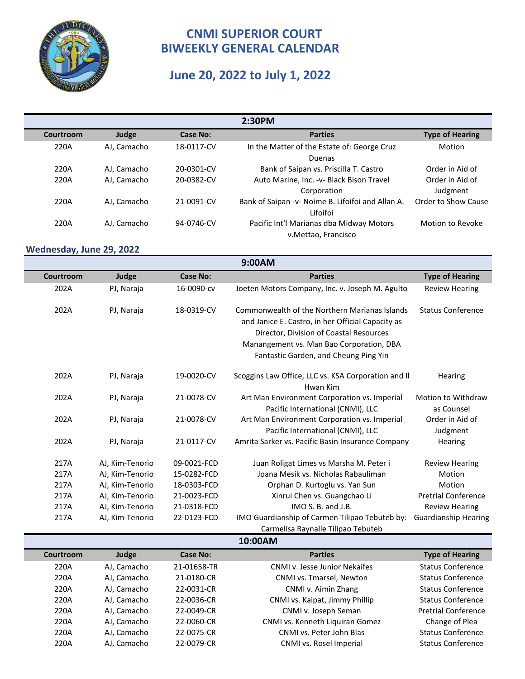

#### **June 20, 2022 to July 1, 2022**

| 2:30PM    |             |                 |                                                   |                        |  |
|-----------|-------------|-----------------|---------------------------------------------------|------------------------|--|
| Courtroom | Judge       | <b>Case No:</b> | <b>Parties</b>                                    | <b>Type of Hearing</b> |  |
| 220A      | AJ, Camacho | 18-0117-CV      | In the Matter of the Estate of: George Cruz       | Motion                 |  |
|           |             |                 | Duenas                                            |                        |  |
| 220A      | AJ, Camacho | 20-0301-CV      | Bank of Saipan vs. Priscilla T. Castro            | Order in Aid of        |  |
| 220A      | AJ, Camacho | 20-0382-CV      | Auto Marine, Inc. - v- Black Bison Travel         | Order in Aid of        |  |
|           |             |                 | Corporation                                       | Judgment               |  |
| 220A      | AJ, Camacho | 21-0091-CV      | Bank of Saipan -v- Noime B. Lifoifoi and Allan A. | Order to Show Cause    |  |
|           |             |                 | Lifoifoi                                          |                        |  |
| 220A      | AJ, Camacho | 94-0746-CV      | Pacific Int'l Marianas dba Midway Motors          | Motion to Revoke       |  |
|           |             |                 | v.Mettao, Francisco                               |                        |  |

#### **Wednesday, June 29, 2022**

AJ, Camacho

| 9:00AM    |                 |                 |                                                                                                                                                                                                                                    |                                  |  |  |
|-----------|-----------------|-----------------|------------------------------------------------------------------------------------------------------------------------------------------------------------------------------------------------------------------------------------|----------------------------------|--|--|
| Courtroom | Judge           | <b>Case No:</b> | <b>Parties</b>                                                                                                                                                                                                                     | <b>Type of Hearing</b>           |  |  |
| 202A      | PJ, Naraja      | 16-0090-cv      | Joeten Motors Company, Inc. v. Joseph M. Agulto                                                                                                                                                                                    | <b>Review Hearing</b>            |  |  |
| 202A      | PJ, Naraja      | 18-0319-CV      | Commonwealth of the Northern Marianas Islands<br>and Janice E. Castro, in her Official Capacity as<br>Director, Division of Coastal Resources<br>Manangement vs. Man Bao Corporation, DBA<br>Fantastic Garden, and Cheung Ping Yin | <b>Status Conference</b>         |  |  |
| 202A      | PJ, Naraja      | 19-0020-CV      | Scoggins Law Office, LLC vs. KSA Corporation and II<br>Hwan Kim                                                                                                                                                                    | Hearing                          |  |  |
| 202A      | PJ, Naraja      | 21-0078-CV      | Art Man Environment Corporation vs. Imperial<br>Pacific International (CNMI), LLC                                                                                                                                                  | Motion to Withdraw<br>as Counsel |  |  |
| 202A      | PJ, Naraja      | 21-0078-CV      | Art Man Environment Corporation vs. Imperial<br>Pacific International (CNMI), LLC                                                                                                                                                  | Order in Aid of<br>Judgment      |  |  |
| 202A      | PJ, Naraja      | 21-0117-CV      | Amrita Sarker vs. Pacific Basin Insurance Company                                                                                                                                                                                  | Hearing                          |  |  |
| 217A      | AJ, Kim-Tenorio | 09-0021-FCD     | Juan Roligat Limes vs Marsha M. Peter i                                                                                                                                                                                            | <b>Review Hearing</b>            |  |  |
| 217A      | AJ, Kim-Tenorio | 15-0282-FCD     | Joana Mesik vs. Nicholas Rabauliman                                                                                                                                                                                                | Motion                           |  |  |
| 217A      | AJ, Kim-Tenorio | 18-0303-FCD     | Orphan D. Kurtoglu vs. Yan Sun                                                                                                                                                                                                     | Motion                           |  |  |
| 217A      | AJ, Kim-Tenorio | 21-0023-FCD     | Xinrui Chen vs. Guangchao Li                                                                                                                                                                                                       | <b>Pretrial Conference</b>       |  |  |
| 217A      | AJ, Kim-Tenorio | 21-0318-FCD     | IMO S. B. and J.B.                                                                                                                                                                                                                 | <b>Review Hearing</b>            |  |  |
| 217A      | AJ, Kim-Tenorio | 22-0123-FCD     | IMO Guardianship of Carmen Tilipao Tebuteb by:                                                                                                                                                                                     | <b>Guardianship Hearing</b>      |  |  |
|           |                 |                 | Carmelisa Raynalle Tilipao Tebuteb                                                                                                                                                                                                 |                                  |  |  |

**Courtroom 3 Judge Case No:** Case No: 2021 220A AJ, Camacho 21-01658-TR CNMI v. Jesse Junior Nekaifes Status Conference 220A AJ, Camacho 21-0180-CR CNMI vs. Tmarsel, Newton Status Conference **10:00AM**

220A AJ, Camacho 22-0031-CR CNMI v. Aimin Zhang Status Conference 220A AJ, Camacho 22-0036-CR CNMI vs. Kaipat, Jimmy Phillip Status Conference 220A AJ, Camacho 22-0049-CR CNMI v. Joseph Seman Pretrial Conference 220A CNMI vs. Kenneth Liquiran Gomez AJ, Camacho 22-0060-CR Change of Plea 220A AJ, Camacho 22-0075-CR CNMI vs. Peter John Blas Status Conference 220A AJ, Camacho 22-0079-CR CNMI vs. Rosel Imperial Status Conference **Type of Hearing**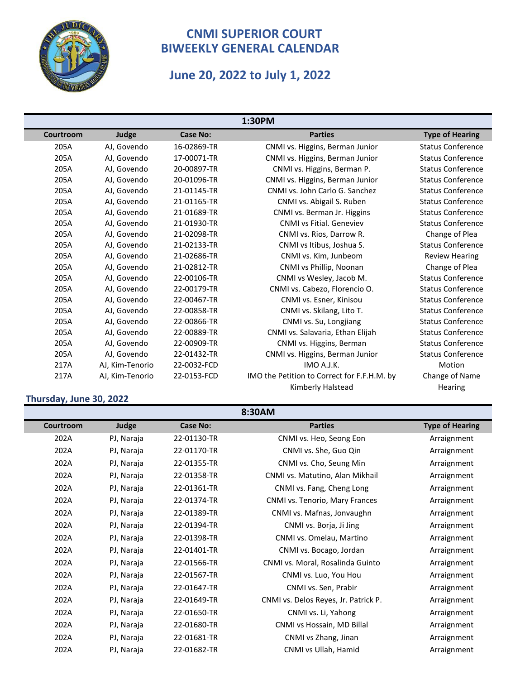

# **June 20, 2022 to July 1, 2022**

| 1:30PM    |                 |                 |                                             |                          |  |  |
|-----------|-----------------|-----------------|---------------------------------------------|--------------------------|--|--|
| Courtroom | Judge           | <b>Case No:</b> | <b>Parties</b>                              | <b>Type of Hearing</b>   |  |  |
| 205A      | AJ, Govendo     | 16-02869-TR     | CNMI vs. Higgins, Berman Junior             | <b>Status Conference</b> |  |  |
| 205A      | AJ, Govendo     | 17-00071-TR     | CNMI vs. Higgins, Berman Junior             | <b>Status Conference</b> |  |  |
| 205A      | AJ, Govendo     | 20-00897-TR     | CNMI vs. Higgins, Berman P.                 | <b>Status Conference</b> |  |  |
| 205A      | AJ, Govendo     | 20-01096-TR     | CNMI vs. Higgins, Berman Junior             | <b>Status Conference</b> |  |  |
| 205A      | AJ, Govendo     | 21-01145-TR     | CNMI vs. John Carlo G. Sanchez              | <b>Status Conference</b> |  |  |
| 205A      | AJ, Govendo     | 21-01165-TR     | CNMI vs. Abigail S. Ruben                   | <b>Status Conference</b> |  |  |
| 205A      | AJ, Govendo     | 21-01689-TR     | CNMI vs. Berman Jr. Higgins                 | <b>Status Conference</b> |  |  |
| 205A      | AJ, Govendo     | 21-01930-TR     | <b>CNMI vs Fitial. Geneviev</b>             | <b>Status Conference</b> |  |  |
| 205A      | AJ, Govendo     | 21-02098-TR     | CNMI vs. Rios, Darrow R.                    | Change of Plea           |  |  |
| 205A      | AJ, Govendo     | 21-02133-TR     | CNMI vs Itibus, Joshua S.                   | <b>Status Conference</b> |  |  |
| 205A      | AJ, Govendo     | 21-02686-TR     | CNMI vs. Kim, Junbeom                       | <b>Review Hearing</b>    |  |  |
| 205A      | AJ, Govendo     | 21-02812-TR     | CNMI vs Phillip, Noonan                     | Change of Plea           |  |  |
| 205A      | AJ, Govendo     | 22-00106-TR     | CNMI vs Wesley, Jacob M.                    | <b>Status Conference</b> |  |  |
| 205A      | AJ, Govendo     | 22-00179-TR     | CNMI vs. Cabezo, Florencio O.               | <b>Status Conference</b> |  |  |
| 205A      | AJ, Govendo     | 22-00467-TR     | CNMI vs. Esner, Kinisou                     | <b>Status Conference</b> |  |  |
| 205A      | AJ, Govendo     | 22-00858-TR     | CNMI vs. Skilang, Lito T.                   | <b>Status Conference</b> |  |  |
| 205A      | AJ, Govendo     | 22-00866-TR     | CNMI vs. Su, Longjiang                      | <b>Status Conference</b> |  |  |
| 205A      | AJ, Govendo     | 22-00889-TR     | CNMI vs. Salavaria, Ethan Elijah            | <b>Status Conference</b> |  |  |
| 205A      | AJ, Govendo     | 22-00909-TR     | CNMI vs. Higgins, Berman                    | <b>Status Conference</b> |  |  |
| 205A      | AJ, Govendo     | 22-01432-TR     | CNMI vs. Higgins, Berman Junior             | <b>Status Conference</b> |  |  |
| 217A      | AJ, Kim-Tenorio | 22-0032-FCD     | IMO A.J.K.                                  | Motion                   |  |  |
| 217A      | AJ, Kim-Tenorio | 22-0153-FCD     | IMO the Petition to Correct for F.F.H.M. by | Change of Name           |  |  |
|           |                 |                 | Kimberly Halstead                           | Hearing                  |  |  |

#### **Thursday, June 30, 2022**

| 8:30AM    |            |                 |                                      |                        |  |  |
|-----------|------------|-----------------|--------------------------------------|------------------------|--|--|
| Courtroom | Judge      | <b>Case No:</b> | <b>Parties</b>                       | <b>Type of Hearing</b> |  |  |
| 202A      | PJ, Naraja | 22-01130-TR     | CNMI vs. Heo, Seong Eon              | Arraignment            |  |  |
| 202A      | PJ, Naraja | 22-01170-TR     | CNMI vs. She, Guo Qin                | Arraignment            |  |  |
| 202A      | PJ, Naraja | 22-01355-TR     | CNMI vs. Cho, Seung Min              | Arraignment            |  |  |
| 202A      | PJ, Naraja | 22-01358-TR     | CNMI vs. Matutino, Alan Mikhail      | Arraignment            |  |  |
| 202A      | PJ, Naraja | 22-01361-TR     | CNMI vs. Fang, Cheng Long            | Arraignment            |  |  |
| 202A      | PJ, Naraja | 22-01374-TR     | CNMI vs. Tenorio, Mary Frances       | Arraignment            |  |  |
| 202A      | PJ, Naraja | 22-01389-TR     | CNMI vs. Mafnas, Jonvaughn           | Arraignment            |  |  |
| 202A      | PJ, Naraja | 22-01394-TR     | CNMI vs. Borja, Ji Jing              | Arraignment            |  |  |
| 202A      | PJ, Naraja | 22-01398-TR     | CNMI vs. Omelau, Martino             | Arraignment            |  |  |
| 202A      | PJ, Naraja | 22-01401-TR     | CNMI vs. Bocago, Jordan              | Arraignment            |  |  |
| 202A      | PJ, Naraja | 22-01566-TR     | CNMI vs. Moral, Rosalinda Guinto     | Arraignment            |  |  |
| 202A      | PJ, Naraja | 22-01567-TR     | CNMI vs. Luo, You Hou                | Arraignment            |  |  |
| 202A      | PJ, Naraja | 22-01647-TR     | CNMI vs. Sen, Prabir                 | Arraignment            |  |  |
| 202A      | PJ, Naraja | 22-01649-TR     | CNMI vs. Delos Reyes, Jr. Patrick P. | Arraignment            |  |  |
| 202A      | PJ, Naraja | 22-01650-TR     | CNMI vs. Li, Yahong                  | Arraignment            |  |  |
| 202A      | PJ, Naraja | 22-01680-TR     | CNMI vs Hossain, MD Billal           | Arraignment            |  |  |
| 202A      | PJ, Naraja | 22-01681-TR     | CNMI vs Zhang, Jinan                 | Arraignment            |  |  |
| 202A      | PJ, Naraja | 22-01682-TR     | CNMI vs Ullah, Hamid                 | Arraignment            |  |  |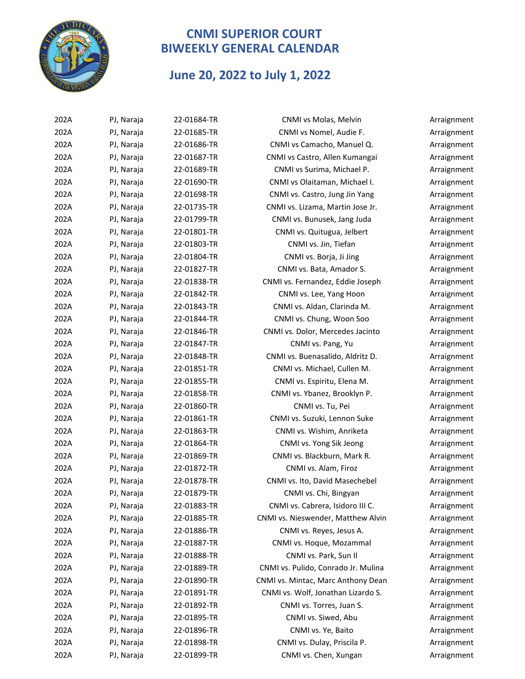

#### **June 20, 2022 to July 1, 2022**

| 202A | PJ, Naraja | 22-01684-TR | CNMI vs Molas, Melvin               | Arraignment |
|------|------------|-------------|-------------------------------------|-------------|
| 202A | PJ, Naraja | 22-01685-TR | CNMI vs Nomel, Audie F.             | Arraignment |
| 202A | PJ, Naraja | 22-01686-TR | CNMI vs Camacho, Manuel Q.          | Arraignment |
| 202A | PJ, Naraja | 22-01687-TR | CNMI vs Castro, Allen Kumangai      | Arraignment |
| 202A | PJ, Naraja | 22-01689-TR | CNMI vs Surima, Michael P.          | Arraignment |
| 202A | PJ, Naraja | 22-01690-TR | CNMI vs Olaitaman, Michael I.       | Arraignment |
| 202A | PJ, Naraja | 22-01698-TR | CNMI vs. Castro, Jung Jin Yang      | Arraignment |
| 202A | PJ, Naraja | 22-01735-TR | CNMI vs. Lizama, Martin Jose Jr.    | Arraignment |
| 202A | PJ, Naraja | 22-01799-TR | CNMI vs. Bunusek, Jang Juda         | Arraignment |
| 202A | PJ, Naraja | 22-01801-TR | CNMI vs. Quitugua, Jelbert          | Arraignment |
| 202A | PJ, Naraja | 22-01803-TR | CNMI vs. Jin, Tiefan                | Arraignment |
| 202A | PJ, Naraja | 22-01804-TR | CNMI vs. Borja, Ji Jing             | Arraignment |
| 202A | PJ, Naraja | 22-01827-TR | CNMI vs. Bata, Amador S.            | Arraignment |
| 202A | PJ, Naraja | 22-01838-TR | CNMI vs. Fernandez, Eddie Joseph    | Arraignment |
| 202A | PJ, Naraja | 22-01842-TR | CNMI vs. Lee, Yang Hoon             | Arraignment |
| 202A | PJ, Naraja | 22-01843-TR | CNMI vs. Aldan, Clarinda M.         | Arraignment |
| 202A | PJ, Naraja | 22-01844-TR | CNMI vs. Chung, Woon Soo            | Arraignment |
| 202A | PJ, Naraja | 22-01846-TR | CNMI vs. Dolor, Mercedes Jacinto    | Arraignment |
| 202A | PJ, Naraja | 22-01847-TR | CNMI vs. Pang, Yu                   | Arraignment |
| 202A | PJ, Naraja | 22-01848-TR | CNMI vs. Buenasalido, Aldritz D.    | Arraignment |
| 202A | PJ, Naraja | 22-01851-TR | CNMI vs. Michael, Cullen M.         | Arraignment |
| 202A | PJ, Naraja | 22-01855-TR | CNMI vs. Espiritu, Elena M.         | Arraignment |
| 202A | PJ, Naraja | 22-01858-TR | CNMI vs. Ybanez, Brooklyn P.        | Arraignment |
| 202A | PJ, Naraja | 22-01860-TR | CNMI vs. Tu, Pei                    | Arraignment |
| 202A | PJ, Naraja | 22-01861-TR | CNMI vs. Suzuki, Lennon Suke        | Arraignment |
| 202A | PJ, Naraja | 22-01863-TR | CNMI vs. Wishim, Anriketa           | Arraignment |
| 202A | PJ, Naraja | 22-01864-TR | CNMI vs. Yong Sik Jeong             | Arraignment |
| 202A | PJ, Naraja | 22-01869-TR | CNMI vs. Blackburn, Mark R.         | Arraignment |
| 202A | PJ, Naraja | 22-01872-TR | CNMI vs. Alam, Firoz                | Arraignment |
| 202A | PJ, Naraja | 22-01878-TR | CNMI vs. Ito, David Masechebel      | Arraignment |
| 202A | PJ, Naraja | 22-01879-TR | CNMI vs. Chi, Bingyan               | Arraignment |
| 202A | PJ, Naraja | 22-01883-TR | CNMI vs. Cabrera, Isidoro III C.    | Arraignment |
| 202A | PJ, Naraja | 22-01885-TR | CNMI vs. Nieswender, Matthew Alvin  | Arraignment |
| 202A | PJ, Naraja | 22-01886-TR | CNMI vs. Reyes, Jesus A.            | Arraignment |
| 202A | PJ, Naraja | 22-01887-TR | CNMI vs. Hoque, Mozammal            | Arraignment |
| 202A | PJ, Naraja | 22-01888-TR | CNMI vs. Park, Sun II               | Arraignment |
| 202A | PJ, Naraja | 22-01889-TR | CNMI vs. Pulido, Conrado Jr. Mulina | Arraignment |
| 202A | PJ, Naraja | 22-01890-TR | CNMI vs. Mintac, Marc Anthony Dean  | Arraignment |
| 202A | PJ, Naraja | 22-01891-TR | CNMI vs. Wolf, Jonathan Lizardo S.  | Arraignment |
| 202A | PJ, Naraja | 22-01892-TR | CNMI vs. Torres, Juan S.            | Arraignment |
| 202A | PJ, Naraja | 22-01895-TR | CNMI vs. Siwed, Abu                 | Arraignment |
| 202A | PJ, Naraja | 22-01896-TR | CNMI vs. Ye, Baito                  | Arraignment |
| 202A | PJ, Naraja | 22-01898-TR | CNMI vs. Dulay, Priscila P.         | Arraignment |
| 202A | PJ, Naraja | 22-01899-TR | CNMI vs. Chen, Xungan               | Arraignment |
|      |            |             |                                     |             |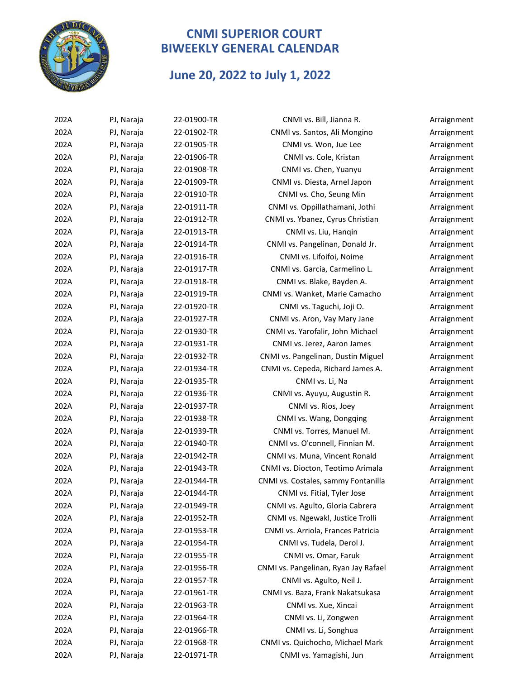

#### **June 20, 2022 to July 1, 2022**

| 202A | PJ, Naraja | 22-01900-TR | CNMI vs. Bill, Jianna R.             | Arraignment |
|------|------------|-------------|--------------------------------------|-------------|
| 202A | PJ, Naraja | 22-01902-TR | CNMI vs. Santos, Ali Mongino         | Arraignment |
| 202A | PJ, Naraja | 22-01905-TR | CNMI vs. Won, Jue Lee                | Arraignment |
| 202A | PJ, Naraja | 22-01906-TR | CNMI vs. Cole, Kristan               | Arraignment |
| 202A | PJ, Naraja | 22-01908-TR | CNMI vs. Chen, Yuanyu                | Arraignment |
| 202A | PJ, Naraja | 22-01909-TR | CNMI vs. Diesta, Arnel Japon         | Arraignment |
| 202A | PJ, Naraja | 22-01910-TR | CNMI vs. Cho, Seung Min              | Arraignment |
| 202A | PJ, Naraja | 22-01911-TR | CNMI vs. Oppillathamani, Jothi       | Arraignment |
| 202A | PJ, Naraja | 22-01912-TR | CNMI vs. Ybanez, Cyrus Christian     | Arraignment |
| 202A | PJ, Naraja | 22-01913-TR | CNMI vs. Liu, Hanqin                 | Arraignment |
| 202A | PJ, Naraja | 22-01914-TR | CNMI vs. Pangelinan, Donald Jr.      | Arraignment |
| 202A | PJ, Naraja | 22-01916-TR | CNMI vs. Lifoifoi, Noime             | Arraignment |
| 202A | PJ, Naraja | 22-01917-TR | CNMI vs. Garcia, Carmelino L.        | Arraignment |
| 202A | PJ, Naraja | 22-01918-TR | CNMI vs. Blake, Bayden A.            | Arraignment |
| 202A | PJ, Naraja | 22-01919-TR | CNMI vs. Wanket, Marie Camacho       | Arraignment |
| 202A | PJ, Naraja | 22-01920-TR | CNMI vs. Taguchi, Joji O.            | Arraignment |
| 202A | PJ, Naraja | 22-01927-TR | CNMI vs. Aron, Vay Mary Jane         | Arraignment |
| 202A | PJ, Naraja | 22-01930-TR | CNMI vs. Yarofalir, John Michael     | Arraignment |
| 202A | PJ, Naraja | 22-01931-TR | CNMI vs. Jerez, Aaron James          | Arraignment |
| 202A | PJ, Naraja | 22-01932-TR | CNMI vs. Pangelinan, Dustin Miguel   | Arraignment |
| 202A | PJ, Naraja | 22-01934-TR | CNMI vs. Cepeda, Richard James A.    | Arraignment |
| 202A | PJ, Naraja | 22-01935-TR | CNMI vs. Li, Na                      | Arraignment |
| 202A | PJ, Naraja | 22-01936-TR | CNMI vs. Ayuyu, Augustin R.          | Arraignment |
| 202A | PJ, Naraja | 22-01937-TR | CNMI vs. Rios, Joey                  | Arraignment |
| 202A | PJ, Naraja | 22-01938-TR | CNMI vs. Wang, Dongqing              | Arraignment |
| 202A | PJ, Naraja | 22-01939-TR | CNMI vs. Torres, Manuel M.           | Arraignment |
| 202A | PJ, Naraja | 22-01940-TR | CNMI vs. O'connell, Finnian M.       | Arraignment |
| 202A | PJ, Naraja | 22-01942-TR | CNMI vs. Muna, Vincent Ronald        | Arraignment |
| 202A | PJ, Naraja | 22-01943-TR | CNMI vs. Diocton, Teotimo Arimala    | Arraignment |
| 202A | PJ, Naraja | 22-01944-TR | CNMI vs. Costales, sammy Fontanilla  | Arraignment |
| 202A | PJ, Naraja | 22-01944-TR | CNMI vs. Fitial, Tyler Jose          | Arraignment |
| 202A | PJ, Naraja | 22-01949-TR | CNMI vs. Agulto, Gloria Cabrera      | Arraignment |
| 202A | PJ, Naraja | 22-01952-TR | CNMI vs. Ngewakl, Justice Trolli     | Arraignment |
| 202A | PJ, Naraja | 22-01953-TR | CNMI vs. Arriola, Frances Patricia   | Arraignment |
| 202A | PJ, Naraja | 22-01954-TR | CNMI vs. Tudela, Derol J.            | Arraignment |
| 202A | PJ, Naraja | 22-01955-TR | CNMI vs. Omar, Faruk                 | Arraignment |
| 202A | PJ, Naraja | 22-01956-TR | CNMI vs. Pangelinan, Ryan Jay Rafael | Arraignment |
| 202A | PJ, Naraja | 22-01957-TR | CNMI vs. Agulto, Neil J.             | Arraignment |
| 202A | PJ, Naraja | 22-01961-TR | CNMI vs. Baza, Frank Nakatsukasa     | Arraignment |
| 202A | PJ, Naraja | 22-01963-TR | CNMI vs. Xue, Xincai                 | Arraignment |
| 202A | PJ, Naraja | 22-01964-TR | CNMI vs. Li, Zongwen                 | Arraignment |
| 202A | PJ, Naraja | 22-01966-TR | CNMI vs. Li, Songhua                 | Arraignment |
| 202A | PJ, Naraja | 22-01968-TR | CNMI vs. Quichocho, Michael Mark     | Arraignment |
| 202A | PJ, Naraja | 22-01971-TR | CNMI vs. Yamagishi, Jun              | Arraignment |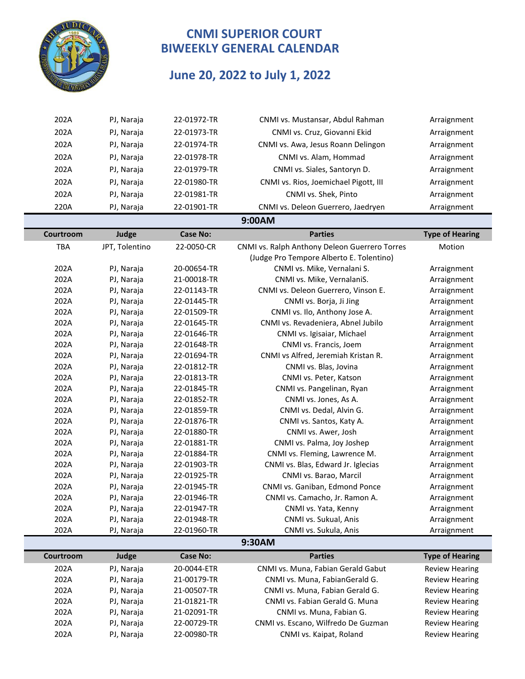

# **June 20, 2022 to July 1, 2022**

| 202A       | PJ, Naraja     | 22-01972-TR     | CNMI vs. Mustansar, Abdul Rahman              | Arraignment            |
|------------|----------------|-----------------|-----------------------------------------------|------------------------|
| 202A       | PJ, Naraja     | 22-01973-TR     | CNMI vs. Cruz, Giovanni Ekid                  | Arraignment            |
| 202A       | PJ, Naraja     | 22-01974-TR     | CNMI vs. Awa, Jesus Roann Delingon            | Arraignment            |
| 202A       | PJ, Naraja     | 22-01978-TR     | CNMI vs. Alam, Hommad                         | Arraignment            |
| 202A       | PJ, Naraja     | 22-01979-TR     | CNMI vs. Siales, Santoryn D.                  | Arraignment            |
|            |                |                 |                                               |                        |
| 202A       | PJ, Naraja     | 22-01980-TR     | CNMI vs. Rios, Joemichael Pigott, III         | Arraignment            |
| 202A       | PJ, Naraja     | 22-01981-TR     | CNMI vs. Shek, Pinto                          | Arraignment            |
| 220A       | PJ, Naraja     | 22-01901-TR     | CNMI vs. Deleon Guerrero, Jaedryen            | Arraignment            |
|            |                |                 | 9:00AM                                        |                        |
| Courtroom  | Judge          | <b>Case No:</b> | <b>Parties</b>                                | <b>Type of Hearing</b> |
| <b>TBA</b> | JPT, Tolentino | 22-0050-CR      | CNMI vs. Ralph Anthony Deleon Guerrero Torres | Motion                 |
|            |                |                 | (Judge Pro Tempore Alberto E. Tolentino)      |                        |
| 202A       | PJ, Naraja     | 20-00654-TR     | CNMI vs. Mike, Vernalani S.                   | Arraignment            |
| 202A       | PJ, Naraja     | 21-00018-TR     | CNMI vs. Mike, VernalaniS.                    | Arraignment            |
| 202A       | PJ, Naraja     | 22-01143-TR     | CNMI vs. Deleon Guerrero, Vinson E.           | Arraignment            |
| 202A       | PJ, Naraja     | 22-01445-TR     | CNMI vs. Borja, Ji Jing                       | Arraignment            |
| 202A       | PJ, Naraja     | 22-01509-TR     | CNMI vs. Ilo, Anthony Jose A.                 | Arraignment            |
| 202A       | PJ, Naraja     | 22-01645-TR     | CNMI vs. Revadeniera, Abnel Jubilo            | Arraignment            |
| 202A       | PJ, Naraja     | 22-01646-TR     | CNMI vs. Igisaiar, Michael                    | Arraignment            |
| 202A       | PJ, Naraja     | 22-01648-TR     | CNMI vs. Francis, Joem                        | Arraignment            |
| 202A       | PJ, Naraja     | 22-01694-TR     | CNMI vs Alfred, Jeremiah Kristan R.           | Arraignment            |
| 202A       | PJ, Naraja     | 22-01812-TR     | CNMI vs. Blas, Jovina                         | Arraignment            |
| 202A       | PJ, Naraja     | 22-01813-TR     | CNMI vs. Peter, Katson                        | Arraignment            |
| 202A       | PJ, Naraja     | 22-01845-TR     | CNMI vs. Pangelinan, Ryan                     | Arraignment            |
| 202A       | PJ, Naraja     | 22-01852-TR     | CNMI vs. Jones, As A.                         | Arraignment            |
| 202A       | PJ, Naraja     | 22-01859-TR     | CNMI vs. Dedal, Alvin G.                      | Arraignment            |
| 202A       | PJ, Naraja     | 22-01876-TR     | CNMI vs. Santos, Katy A.                      | Arraignment            |
| 202A       | PJ, Naraja     | 22-01880-TR     | CNMI vs. Awer, Josh                           | Arraignment            |
| 202A       | PJ, Naraja     | 22-01881-TR     | CNMI vs. Palma, Joy Joshep                    | Arraignment            |
| 202A       | PJ, Naraja     | 22-01884-TR     | CNMI vs. Fleming, Lawrence M.                 | Arraignment            |
| 202A       | PJ, Naraja     | 22-01903-TR     | CNMI vs. Blas, Edward Jr. Iglecias            | Arraignment            |
| 202A       | PJ, Naraja     | 22-01925-TR     | CNMI vs. Barao, Marcil                        | Arraignment            |
| 202A       | PJ, Naraja     | 22-01945-TR     | CNMI vs. Ganiban, Edmond Ponce                | Arraignment            |
| 202A       | PJ, Naraja     | 22-01946-TR     | CNMI vs. Camacho, Jr. Ramon A.                | Arraignment            |
| 202A       | PJ, Naraja     | 22-01947-TR     | CNMI vs. Yata, Kenny                          | Arraignment            |
| 202A       | PJ, Naraja     | 22-01948-TR     | CNMI vs. Sukual, Anis                         | Arraignment            |
| 202A       | PJ, Naraja     | 22-01960-TR     | CNMI vs. Sukula, Anis                         | Arraignment            |
|            |                |                 | 9:30AM                                        |                        |
| Courtroom  | Judge          | <b>Case No:</b> | <b>Parties</b>                                | <b>Type of Hearing</b> |
| 202A       | PJ, Naraja     | 20-0044-ETR     | CNMI vs. Muna, Fabian Gerald Gabut            | <b>Review Hearing</b>  |
| 202A       | PJ, Naraja     | 21-00179-TR     | CNMI vs. Muna, FabianGerald G.                | <b>Review Hearing</b>  |
| 202A       | PJ, Naraja     | 21-00507-TR     | CNMI vs. Muna, Fabian Gerald G.               | <b>Review Hearing</b>  |
| 202A       | PJ, Naraja     | 21-01821-TR     | CNMI vs. Fabian Gerald G. Muna                | <b>Review Hearing</b>  |
| 202A       | PJ, Naraja     | 21-02091-TR     | CNMI vs. Muna, Fabian G.                      | <b>Review Hearing</b>  |
| 202A       | PJ, Naraja     | 22-00729-TR     | CNMI vs. Escano, Wilfredo De Guzman           | <b>Review Hearing</b>  |
| 202A       | PJ, Naraja     | 22-00980-TR     | CNMI vs. Kaipat, Roland                       | <b>Review Hearing</b>  |